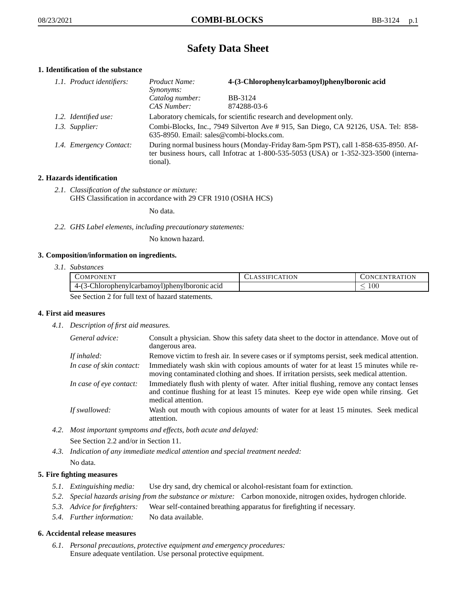# **Safety Data Sheet**

## **1. Identification of the substance**

| 1.1. Product identifiers: | 4-(3-Chlorophenylcarbamoyl)phenylboronic acid<br>Product Name:<br><i>Synonyms:</i>                                                                                                          |                        |
|---------------------------|---------------------------------------------------------------------------------------------------------------------------------------------------------------------------------------------|------------------------|
|                           | Catalog number:<br>CAS Number:                                                                                                                                                              | BB-3124<br>874288-03-6 |
| 1.2. Identified use:      | Laboratory chemicals, for scientific research and development only.                                                                                                                         |                        |
| 1.3. Supplier:            | Combi-Blocks, Inc., 7949 Silverton Ave # 915, San Diego, CA 92126, USA. Tel: 858-<br>635-8950. Email: sales@combi-blocks.com.                                                               |                        |
| 1.4. Emergency Contact:   | During normal business hours (Monday-Friday 8am-5pm PST), call 1-858-635-8950. Af-<br>ter business hours, call Infotrac at $1-800-535-5053$ (USA) or $1-352-323-3500$ (interna-<br>tional). |                        |

## **2. Hazards identification**

*2.1. Classification of the substance or mixture:* GHS Classification in accordance with 29 CFR 1910 (OSHA HCS)

No data.

*2.2. GHS Label elements, including precautionary statements:*

No known hazard.

## **3. Composition/information on ingredients.**

*3.1. Substances*

|                                                  | <b>COMPONENT</b>                              | <b>CLASSIFICATION</b> | <b>CONCENTRATION</b> |
|--------------------------------------------------|-----------------------------------------------|-----------------------|----------------------|
|                                                  | 4-(3-Chlorophenylcarbamoyl)phenylboronic acid |                       | .00                  |
| See Section 2 for full text of hegard statements |                                               |                       |                      |

See Section 2 for full text of hazard statements.

#### **4. First aid measures**

*4.1. Description of first aid measures.*

| General advice:          | Consult a physician. Show this safety data sheet to the doctor in attendance. Move out of<br>dangerous area.                                                                                            |
|--------------------------|---------------------------------------------------------------------------------------------------------------------------------------------------------------------------------------------------------|
| If inhaled:              | Remove victim to fresh air. In severe cases or if symptoms persist, seek medical attention.                                                                                                             |
| In case of skin contact: | Immediately wash skin with copious amounts of water for at least 15 minutes while re-<br>moving contaminated clothing and shoes. If irritation persists, seek medical attention.                        |
| In case of eye contact:  | Immediately flush with plenty of water. After initial flushing, remove any contact lenses<br>and continue flushing for at least 15 minutes. Keep eye wide open while rinsing. Get<br>medical attention. |
| If swallowed:            | Wash out mouth with copious amounts of water for at least 15 minutes. Seek medical<br>attention.                                                                                                        |

*4.2. Most important symptoms and effects, both acute and delayed:*

See Section 2.2 and/or in Section 11.

*4.3. Indication of any immediate medical attention and special treatment needed:* No data.

## **5. Fire fighting measures**

- *5.1. Extinguishing media:* Use dry sand, dry chemical or alcohol-resistant foam for extinction.
- *5.2. Special hazards arising from the substance or mixture:* Carbon monoxide, nitrogen oxides, hydrogen chloride.
- *5.3. Advice for firefighters:* Wear self-contained breathing apparatus for firefighting if necessary.
- *5.4. Further information:* No data available.

#### **6. Accidental release measures**

*6.1. Personal precautions, protective equipment and emergency procedures:* Ensure adequate ventilation. Use personal protective equipment.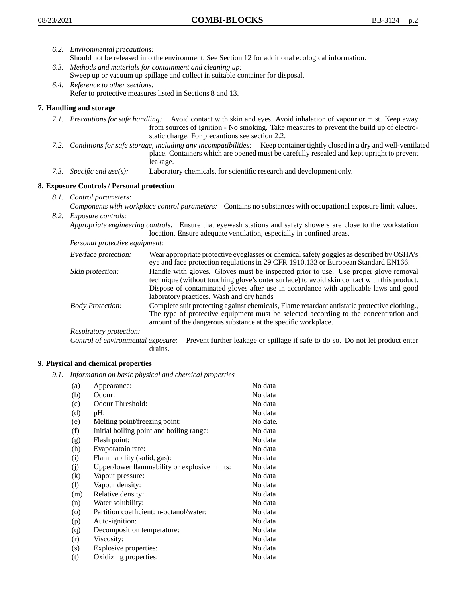- *6.2. Environmental precautions:* Should not be released into the environment. See Section 12 for additional ecological information.
- *6.3. Methods and materials for containment and cleaning up:* Sweep up or vacuum up spillage and collect in suitable container for disposal.
- *6.4. Reference to other sections:* Refer to protective measures listed in Sections 8 and 13.

## **7. Handling and storage**

- *7.1. Precautions for safe handling:* Avoid contact with skin and eyes. Avoid inhalation of vapour or mist. Keep away from sources of ignition - No smoking. Take measures to prevent the build up of electrostatic charge. For precautions see section 2.2.
- *7.2. Conditions for safe storage, including any incompatibilities:* Keep container tightly closed in a dry and well-ventilated place. Containers which are opened must be carefully resealed and kept upright to prevent leakage.
- *7.3. Specific end use(s):* Laboratory chemicals, for scientific research and development only.

## **8. Exposure Controls / Personal protection**

- *8.1. Control parameters:*
- *Components with workplace control parameters:* Contains no substances with occupational exposure limit values. *8.2. Exposure controls:*

*Appropriate engineering controls:* Ensure that eyewash stations and safety showers are close to the workstation location. Ensure adequate ventilation, especially in confined areas.

*Personal protective equipment:*

| Eye/face protection:    | Wear appropriate protective eyeglasses or chemical safety goggles as described by OSHA's<br>eye and face protection regulations in 29 CFR 1910.133 or European Standard EN166.                                                                                                                                         |
|-------------------------|------------------------------------------------------------------------------------------------------------------------------------------------------------------------------------------------------------------------------------------------------------------------------------------------------------------------|
| Skin protection:        | Handle with gloves. Gloves must be inspected prior to use. Use proper glove removal<br>technique (without touching glove's outer surface) to avoid skin contact with this product.<br>Dispose of contaminated gloves after use in accordance with applicable laws and good<br>laboratory practices. Wash and dry hands |
| <b>Body Protection:</b> | Complete suit protecting against chemicals, Flame retardant antistatic protective clothing.,<br>The type of protective equipment must be selected according to the concentration and<br>amount of the dangerous substance at the specific workplace.                                                                   |
| Respiratory protection: |                                                                                                                                                                                                                                                                                                                        |

Control of environmental exposure: Prevent further leakage or spillage if safe to do so. Do not let product enter drains.

#### **9. Physical and chemical properties**

*9.1. Information on basic physical and chemical properties*

| (a)                          | Appearance:                                   | No data  |
|------------------------------|-----------------------------------------------|----------|
| (b)                          | Odour:                                        | No data  |
| (c)                          | Odour Threshold:                              | No data  |
| (d)                          | pH:                                           | No data  |
| (e)                          | Melting point/freezing point:                 | No date. |
| (f)                          | Initial boiling point and boiling range:      | No data  |
| (g)                          | Flash point:                                  | No data  |
| (h)                          | Evaporatoin rate:                             | No data  |
| (i)                          | Flammability (solid, gas):                    | No data  |
| (j)                          | Upper/lower flammability or explosive limits: | No data  |
| $\left( k\right)$            | Vapour pressure:                              | No data  |
| $\left( \frac{1}{2} \right)$ | Vapour density:                               | No data  |
| (m)                          | Relative density:                             | No data  |
| (n)                          | Water solubility:                             | No data  |
| $\circ$                      | Partition coefficient: n-octanol/water:       | No data  |
| (p)                          | Auto-ignition:                                | No data  |
| (q)                          | Decomposition temperature:                    | No data  |
| (r)                          | Viscosity:                                    | No data  |
| (s)                          | Explosive properties:                         | No data  |
| (t)                          | Oxidizing properties:                         | No data  |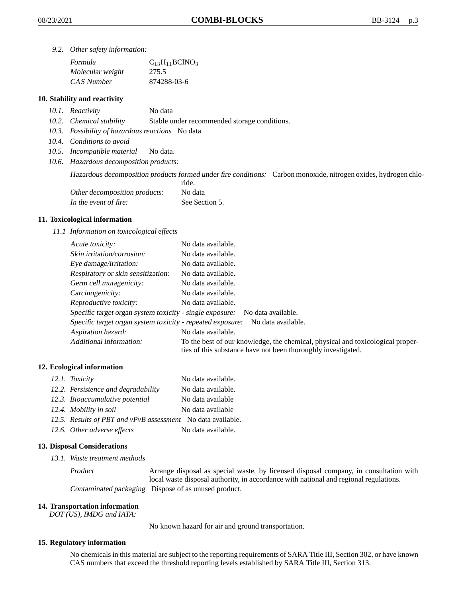*9.2. Other safety information:*

| Formula          | $C_{13}H_{11}BCINO_3$ |
|------------------|-----------------------|
| Molecular weight | 275.5                 |
| CAS Number       | 874288-03-6           |

### **10. Stability and reactivity**

- *10.1. Reactivity* No data
- *10.2. Chemical stability* Stable under recommended storage conditions.
- *10.3. Possibility of hazardous reactions* No data
- *10.4. Conditions to avoid*
- *10.5. Incompatible material* No data.
- *10.6. Hazardous decomposition products:*

Hazardous decomposition products formed under fire conditions: Carbon monoxide, nitrogen oxides, hydrogen chlo-

|                               | ride.          |
|-------------------------------|----------------|
| Other decomposition products: | No data        |
| In the event of fire:         | See Section 5. |

#### **11. Toxicological information**

*11.1 Information on toxicological effects*

| Acute toxicity:                                                                  | No data available.                                                                                                                              |  |
|----------------------------------------------------------------------------------|-------------------------------------------------------------------------------------------------------------------------------------------------|--|
| Skin irritation/corrosion:                                                       | No data available.                                                                                                                              |  |
| Eye damage/irritation:                                                           | No data available.                                                                                                                              |  |
| Respiratory or skin sensitization:                                               | No data available.                                                                                                                              |  |
| Germ cell mutagenicity:                                                          | No data available.                                                                                                                              |  |
| Carcinogenicity:                                                                 | No data available.                                                                                                                              |  |
| Reproductive toxicity:                                                           | No data available.                                                                                                                              |  |
| Specific target organ system toxicity - single exposure:<br>No data available.   |                                                                                                                                                 |  |
| Specific target organ system toxicity - repeated exposure:<br>No data available. |                                                                                                                                                 |  |
| Aspiration hazard:                                                               | No data available.                                                                                                                              |  |
| Additional information:                                                          | To the best of our knowledge, the chemical, physical and toxicological proper-<br>ties of this substance have not been thoroughly investigated. |  |

#### **12. Ecological information**

| 12.1. Toxicity                                              | No data available. |
|-------------------------------------------------------------|--------------------|
| 12.2. Persistence and degradability                         | No data available. |
| 12.3. Bioaccumulative potential                             | No data available  |
| 12.4. Mobility in soil                                      | No data available  |
| 12.5. Results of PBT and vPvB assessment No data available. |                    |
| 12.6. Other adverse effects                                 | No data available. |

#### **13. Disposal Considerations**

*13.1. Waste treatment methods*

Product Arrange disposal as special waste, by licensed disposal company, in consultation with local waste disposal authority, in accordance with national and regional regulations. Contaminated packaging Dispose of as unused product.

#### **14. Transportation information**

*DOT (US), IMDG and IATA:*

No known hazard for air and ground transportation.

#### **15. Regulatory information**

No chemicals in this material are subject to the reporting requirements of SARA Title III, Section 302, or have known CAS numbers that exceed the threshold reporting levels established by SARA Title III, Section 313.